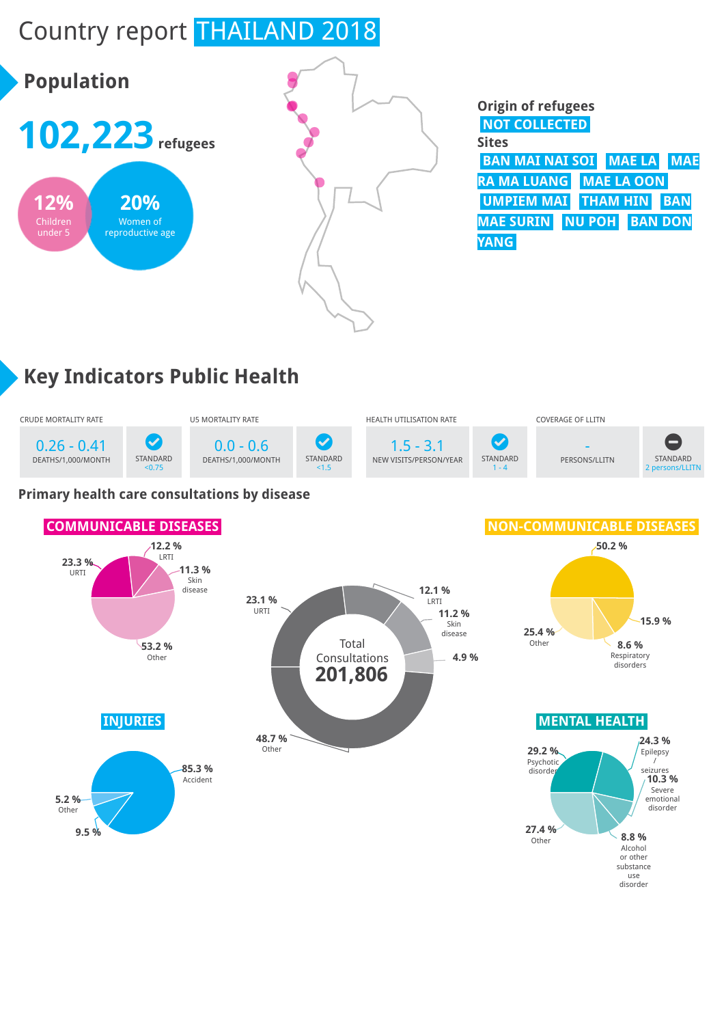# Country report THAILAND 2018



#### **Origin of refugees NOT COLLECTED Sites BAN MAI NAI SOI MAE LA MAE RA MA LUANG MAE LA OON UMPIEM MAI THAM HIN BAN MAE SURIN NU POH BAN DON YANG**

## **Key Indicators Public Health**



#### **Primary health care consultations by disease**

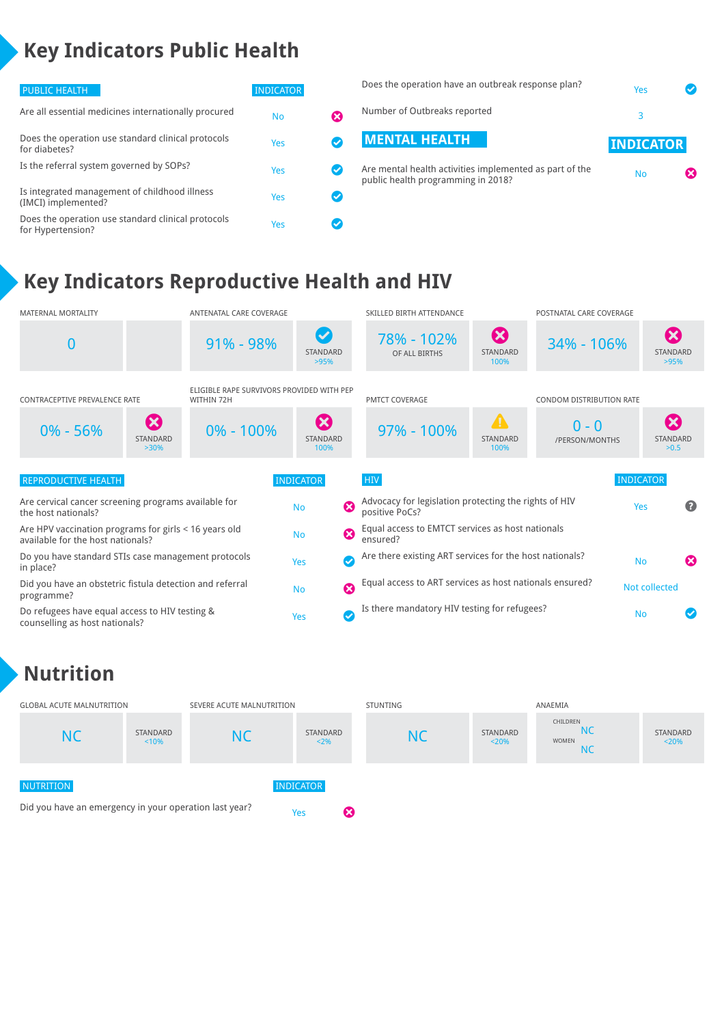### **Key Indicators Public Health**

| PUBLIC HEALTH                                                           | <b>INDICATOR</b> |                      | Does the operation have an outbreak response plan?                                            | Yes              |   |
|-------------------------------------------------------------------------|------------------|----------------------|-----------------------------------------------------------------------------------------------|------------------|---|
| Are all essential medicines internationally procured                    | <b>No</b>        | ⊠                    | Number of Outbreaks reported                                                                  |                  |   |
| Does the operation use standard clinical protocols<br>for diabetes?     | Yes              |                      | <b>MENTAL HEALTH</b>                                                                          | <b>INDICATOR</b> |   |
| Is the referral system governed by SOPs?                                | Yes              | $\blacktriangledown$ | Are mental health activities implemented as part of the<br>public health programming in 2018? | <b>No</b>        | ⊠ |
| Is integrated management of childhood illness<br>(IMCI) implemented?    | Yes              | $\blacktriangledown$ |                                                                                               |                  |   |
| Does the operation use standard clinical protocols<br>for Hypertension? | Yes              | ✓                    |                                                                                               |                  |   |

### **Key Indicators Reproductive Health and HIV**



#### **Nutrition**